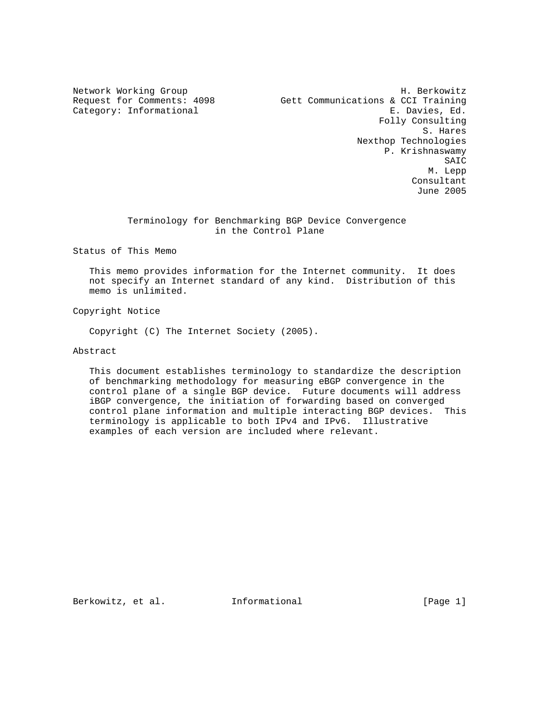Network Working Group Network H. Berkowitz Request for Comments: 4098 Gett Communications & CCI Training Category: Informational E. Davies, Ed. Folly Consulting S. Hares Nexthop Technologies P. Krishnaswamy SAIC M. Lepp Consultant June 2005

# Terminology for Benchmarking BGP Device Convergence in the Control Plane

Status of This Memo

 This memo provides information for the Internet community. It does not specify an Internet standard of any kind. Distribution of this memo is unlimited.

Copyright Notice

Copyright (C) The Internet Society (2005).

# Abstract

 This document establishes terminology to standardize the description of benchmarking methodology for measuring eBGP convergence in the control plane of a single BGP device. Future documents will address iBGP convergence, the initiation of forwarding based on converged control plane information and multiple interacting BGP devices. This terminology is applicable to both IPv4 and IPv6. Illustrative examples of each version are included where relevant.

Berkowitz, et al. Informational [Page 1]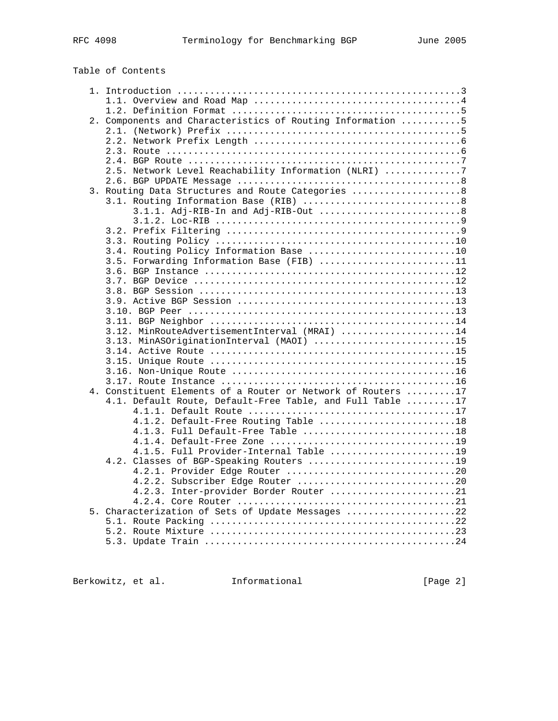| 2. Components and Characteristics of Routing Information 5   |  |
|--------------------------------------------------------------|--|
|                                                              |  |
|                                                              |  |
|                                                              |  |
|                                                              |  |
| 2.5. Network Level Reachability Information (NLRI) 7         |  |
|                                                              |  |
| 3. Routing Data Structures and Route Categories  8           |  |
|                                                              |  |
|                                                              |  |
|                                                              |  |
|                                                              |  |
|                                                              |  |
| 3.4. Routing Policy Information Base 10                      |  |
| 3.5. Forwarding Information Base (FIB) 11                    |  |
|                                                              |  |
|                                                              |  |
|                                                              |  |
|                                                              |  |
|                                                              |  |
|                                                              |  |
| 3.12. MinRouteAdvertisementInterval (MRAI) 14                |  |
| 3.13. MinASOriginationInterval (MAOI) 15                     |  |
|                                                              |  |
|                                                              |  |
|                                                              |  |
|                                                              |  |
| 4. Constituent Elements of a Router or Network of Routers 17 |  |
| 4.1. Default Route, Default-Free Table, and Full Table 17    |  |
|                                                              |  |
| 4.1.2. Default-Free Routing Table 18                         |  |
| 4.1.3. Full Default-Free Table 18                            |  |
|                                                              |  |
| 4.1.5. Full Provider-Internal Table 19                       |  |
| 4.2. Classes of BGP-Speaking Routers 19                      |  |
|                                                              |  |
| 4.2.2. Subscriber Edge Router 20                             |  |
| 4.2.3. Inter-provider Border Router 21                       |  |
|                                                              |  |
| 5. Characterization of Sets of Update Messages 22            |  |
|                                                              |  |
|                                                              |  |
|                                                              |  |

Berkowitz, et al. 1nformational [Page 2]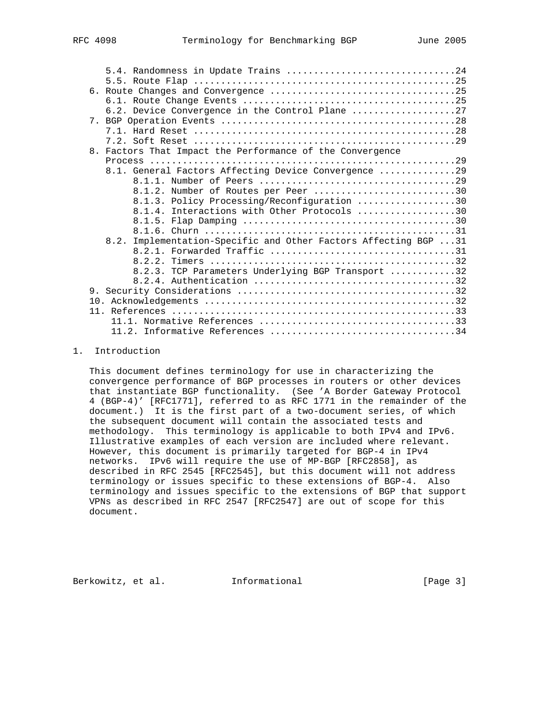|    | 6.2. Device Convergence in the Control Plane 27                  |
|----|------------------------------------------------------------------|
|    |                                                                  |
|    |                                                                  |
|    |                                                                  |
| 8. | Factors That Impact the Performance of the Convergence           |
|    |                                                                  |
|    | 8.1. General Factors Affecting Device Convergence 29             |
|    |                                                                  |
|    | 8.1.2. Number of Routes per Peer 30                              |
|    | 8.1.3. Policy Processing/Reconfiguration 30                      |
|    | 8.1.4. Interactions with Other Protocols 30                      |
|    |                                                                  |
|    |                                                                  |
|    | 8.2. Implementation-Specific and Other Factors Affecting BGP  31 |
|    |                                                                  |
|    |                                                                  |
|    | 8.2.3. TCP Parameters Underlying BGP Transport 32                |
|    |                                                                  |
|    |                                                                  |
|    |                                                                  |
|    |                                                                  |
|    |                                                                  |
|    | $11.2.$ Informative References 34                                |

## 1. Introduction

 This document defines terminology for use in characterizing the convergence performance of BGP processes in routers or other devices that instantiate BGP functionality. (See 'A Border Gateway Protocol 4 (BGP-4)' [RFC1771], referred to as RFC 1771 in the remainder of the document.) It is the first part of a two-document series, of which the subsequent document will contain the associated tests and methodology. This terminology is applicable to both IPv4 and IPv6. Illustrative examples of each version are included where relevant. However, this document is primarily targeted for BGP-4 in IPv4 networks. IPv6 will require the use of MP-BGP [RFC2858], as described in RFC 2545 [RFC2545], but this document will not address terminology or issues specific to these extensions of BGP-4. Also terminology and issues specific to the extensions of BGP that support VPNs as described in RFC 2547 [RFC2547] are out of scope for this document.

Berkowitz, et al. 1nformational [Page 3]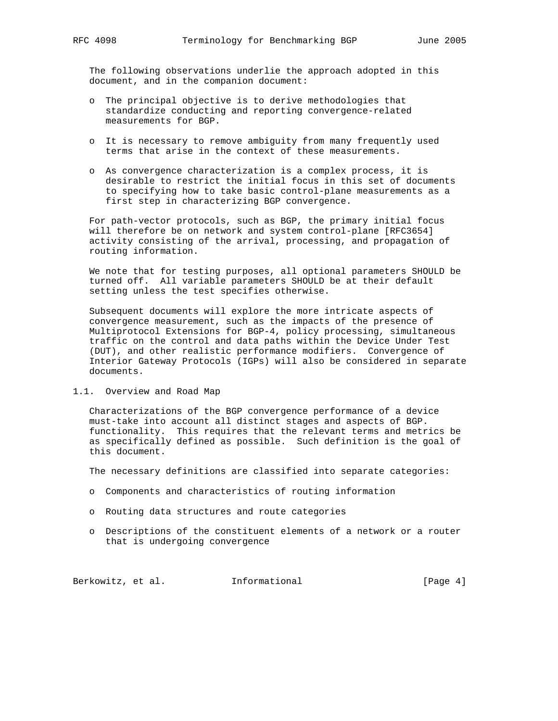The following observations underlie the approach adopted in this document, and in the companion document:

- o The principal objective is to derive methodologies that standardize conducting and reporting convergence-related measurements for BGP.
- o It is necessary to remove ambiguity from many frequently used terms that arise in the context of these measurements.
- o As convergence characterization is a complex process, it is desirable to restrict the initial focus in this set of documents to specifying how to take basic control-plane measurements as a first step in characterizing BGP convergence.

 For path-vector protocols, such as BGP, the primary initial focus will therefore be on network and system control-plane [RFC3654] activity consisting of the arrival, processing, and propagation of routing information.

 We note that for testing purposes, all optional parameters SHOULD be turned off. All variable parameters SHOULD be at their default setting unless the test specifies otherwise.

 Subsequent documents will explore the more intricate aspects of convergence measurement, such as the impacts of the presence of Multiprotocol Extensions for BGP-4, policy processing, simultaneous traffic on the control and data paths within the Device Under Test (DUT), and other realistic performance modifiers. Convergence of Interior Gateway Protocols (IGPs) will also be considered in separate documents.

### 1.1. Overview and Road Map

 Characterizations of the BGP convergence performance of a device must-take into account all distinct stages and aspects of BGP. functionality. This requires that the relevant terms and metrics be as specifically defined as possible. Such definition is the goal of this document.

The necessary definitions are classified into separate categories:

- o Components and characteristics of routing information
- o Routing data structures and route categories
- o Descriptions of the constituent elements of a network or a router that is undergoing convergence

Berkowitz, et al. 1nformational [Page 4]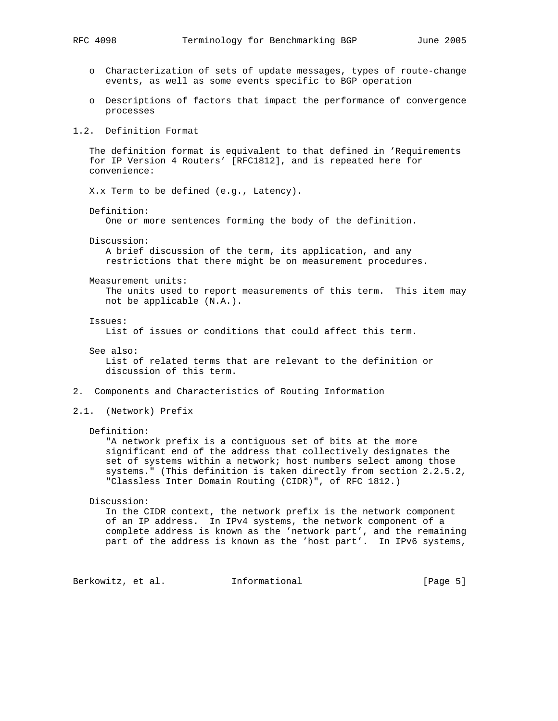- o Characterization of sets of update messages, types of route-change events, as well as some events specific to BGP operation
- o Descriptions of factors that impact the performance of convergence processes

## 1.2. Definition Format

 The definition format is equivalent to that defined in 'Requirements for IP Version 4 Routers' [RFC1812], and is repeated here for convenience:

X.x Term to be defined (e.g., Latency).

Definition:

One or more sentences forming the body of the definition.

Discussion:

 A brief discussion of the term, its application, and any restrictions that there might be on measurement procedures.

Measurement units:

 The units used to report measurements of this term. This item may not be applicable (N.A.).

Issues:

List of issues or conditions that could affect this term.

See also:

 List of related terms that are relevant to the definition or discussion of this term.

- 2. Components and Characteristics of Routing Information
- 2.1. (Network) Prefix
	- Definition:

 "A network prefix is a contiguous set of bits at the more significant end of the address that collectively designates the set of systems within a network; host numbers select among those systems." (This definition is taken directly from section 2.2.5.2, "Classless Inter Domain Routing (CIDR)", of RFC 1812.)

Discussion:

 In the CIDR context, the network prefix is the network component of an IP address. In IPv4 systems, the network component of a complete address is known as the 'network part', and the remaining part of the address is known as the 'host part'. In IPv6 systems,

Berkowitz, et al. Informational [Page 5]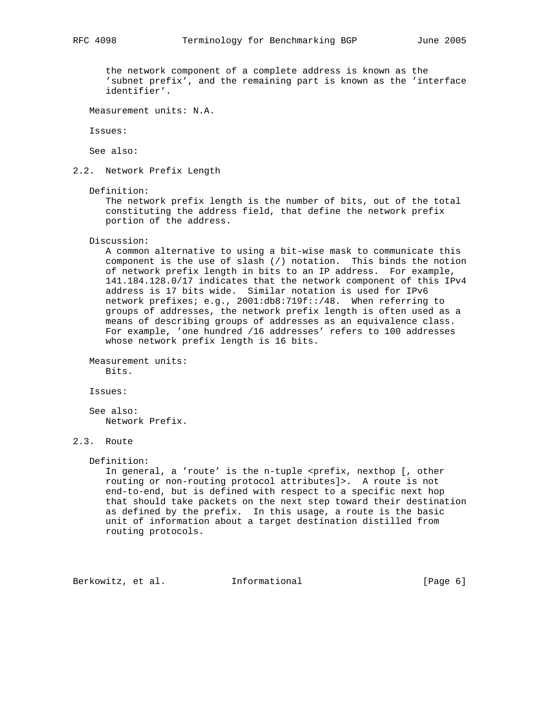the network component of a complete address is known as the 'subnet prefix', and the remaining part is known as the 'interface identifier'.

Measurement units: N.A.

Issues:

See also:

2.2. Network Prefix Length

Definition:

 The network prefix length is the number of bits, out of the total constituting the address field, that define the network prefix portion of the address.

Discussion:

 A common alternative to using a bit-wise mask to communicate this component is the use of slash (/) notation. This binds the notion of network prefix length in bits to an IP address. For example, 141.184.128.0/17 indicates that the network component of this IPv4 address is 17 bits wide. Similar notation is used for IPv6 network prefixes; e.g., 2001:db8:719f::/48. When referring to groups of addresses, the network prefix length is often used as a means of describing groups of addresses as an equivalence class. For example, 'one hundred /16 addresses' refers to 100 addresses whose network prefix length is 16 bits.

 Measurement units: Bits.

Issues:

 See also: Network Prefix.

# 2.3. Route

Definition:

In general, a 'route' is the n-tuple <prefix, nexthop [, other routing or non-routing protocol attributes]>. A route is not end-to-end, but is defined with respect to a specific next hop that should take packets on the next step toward their destination as defined by the prefix. In this usage, a route is the basic unit of information about a target destination distilled from routing protocols.

Berkowitz, et al. 1nformational [Page 6]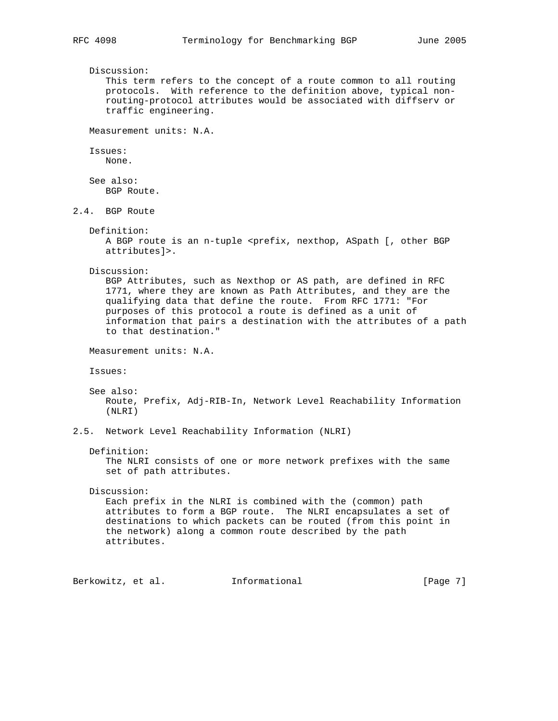Discussion: This term refers to the concept of a route common to all routing protocols. With reference to the definition above, typical non routing-protocol attributes would be associated with diffserv or traffic engineering. Measurement units: N.A. Issues: None. See also: BGP Route. 2.4. BGP Route Definition: A BGP route is an n-tuple <prefix, nexthop, ASpath [, other BGP attributes]>. Discussion: BGP Attributes, such as Nexthop or AS path, are defined in RFC 1771, where they are known as Path Attributes, and they are the qualifying data that define the route. From RFC 1771: "For purposes of this protocol a route is defined as a unit of information that pairs a destination with the attributes of a path to that destination." Measurement units: N.A. Issues: See also: Route, Prefix, Adj-RIB-In, Network Level Reachability Information (NLRI) 2.5. Network Level Reachability Information (NLRI) Definition: The NLRI consists of one or more network prefixes with the same set of path attributes. Discussion: Each prefix in the NLRI is combined with the (common) path attributes to form a BGP route. The NLRI encapsulates a set of destinations to which packets can be routed (from this point in the network) along a common route described by the path attributes. Berkowitz, et al. 1nformational [Page 7]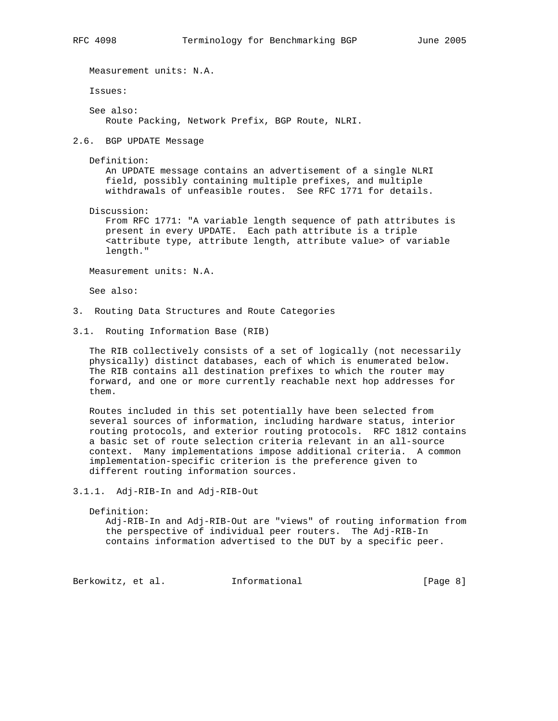Measurement units: N.A. Issues: See also: Route Packing, Network Prefix, BGP Route, NLRI.

2.6. BGP UPDATE Message

Definition:

 An UPDATE message contains an advertisement of a single NLRI field, possibly containing multiple prefixes, and multiple withdrawals of unfeasible routes. See RFC 1771 for details.

Discussion:

 From RFC 1771: "A variable length sequence of path attributes is present in every UPDATE. Each path attribute is a triple <attribute type, attribute length, attribute value> of variable length."

Measurement units: N.A.

See also:

- 3. Routing Data Structures and Route Categories
- 3.1. Routing Information Base (RIB)

 The RIB collectively consists of a set of logically (not necessarily physically) distinct databases, each of which is enumerated below. The RIB contains all destination prefixes to which the router may forward, and one or more currently reachable next hop addresses for them.

 Routes included in this set potentially have been selected from several sources of information, including hardware status, interior routing protocols, and exterior routing protocols. RFC 1812 contains a basic set of route selection criteria relevant in an all-source context. Many implementations impose additional criteria. A common implementation-specific criterion is the preference given to different routing information sources.

3.1.1. Adj-RIB-In and Adj-RIB-Out

Definition:

 Adj-RIB-In and Adj-RIB-Out are "views" of routing information from the perspective of individual peer routers. The Adj-RIB-In contains information advertised to the DUT by a specific peer.

Berkowitz, et al. 1nformational [Page 8]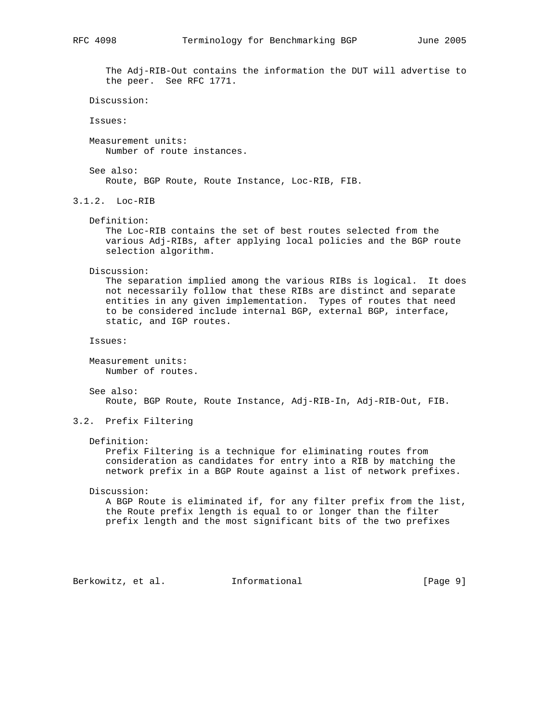The Adj-RIB-Out contains the information the DUT will advertise to the peer. See RFC 1771.

```
 Discussion:
```
Issues:

 Measurement units: Number of route instances.

 See also: Route, BGP Route, Route Instance, Loc-RIB, FIB.

3.1.2. Loc-RIB

Definition:

 The Loc-RIB contains the set of best routes selected from the various Adj-RIBs, after applying local policies and the BGP route selection algorithm.

Discussion:

 The separation implied among the various RIBs is logical. It does not necessarily follow that these RIBs are distinct and separate entities in any given implementation. Types of routes that need to be considered include internal BGP, external BGP, interface, static, and IGP routes.

Issues:

 Measurement units: Number of routes.

 See also: Route, BGP Route, Route Instance, Adj-RIB-In, Adj-RIB-Out, FIB.

3.2. Prefix Filtering

### Definition:

 Prefix Filtering is a technique for eliminating routes from consideration as candidates for entry into a RIB by matching the network prefix in a BGP Route against a list of network prefixes.

Discussion:

 A BGP Route is eliminated if, for any filter prefix from the list, the Route prefix length is equal to or longer than the filter prefix length and the most significant bits of the two prefixes

Berkowitz, et al. 1nformational [Page 9]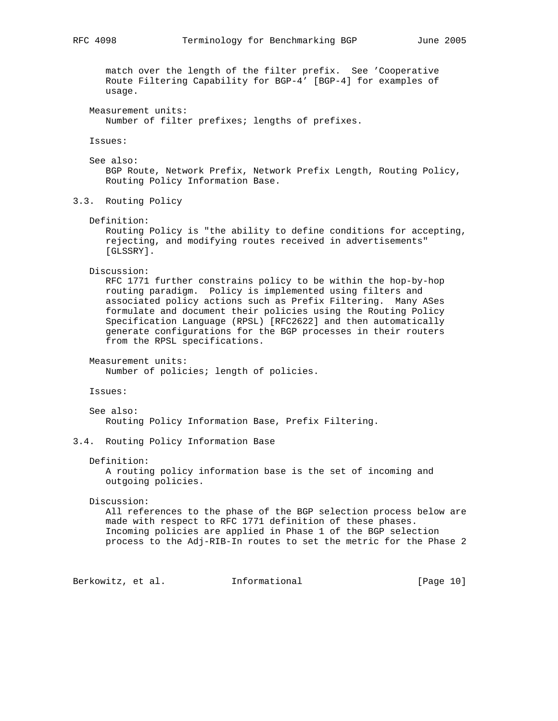match over the length of the filter prefix. See 'Cooperative Route Filtering Capability for BGP-4' [BGP-4] for examples of usage. Measurement units: Number of filter prefixes; lengths of prefixes. Issues: See also: BGP Route, Network Prefix, Network Prefix Length, Routing Policy, Routing Policy Information Base. 3.3. Routing Policy Definition: Routing Policy is "the ability to define conditions for accepting, rejecting, and modifying routes received in advertisements" [GLSSRY]. Discussion: RFC 1771 further constrains policy to be within the hop-by-hop routing paradigm. Policy is implemented using filters and associated policy actions such as Prefix Filtering. Many ASes formulate and document their policies using the Routing Policy Specification Language (RPSL) [RFC2622] and then automatically generate configurations for the BGP processes in their routers from the RPSL specifications. Measurement units: Number of policies; length of policies. Issues: See also: Routing Policy Information Base, Prefix Filtering. 3.4. Routing Policy Information Base Definition: A routing policy information base is the set of incoming and outgoing policies. Discussion: All references to the phase of the BGP selection process below are made with respect to RFC 1771 definition of these phases. Incoming policies are applied in Phase 1 of the BGP selection process to the Adj-RIB-In routes to set the metric for the Phase 2

Berkowitz, et al. Informational [Page 10]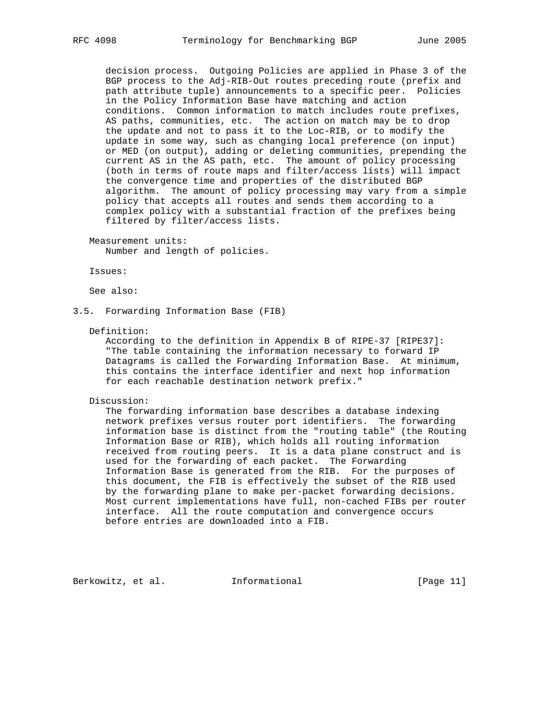decision process. Outgoing Policies are applied in Phase 3 of the BGP process to the Adj-RIB-Out routes preceding route (prefix and path attribute tuple) announcements to a specific peer. Policies in the Policy Information Base have matching and action conditions. Common information to match includes route prefixes, AS paths, communities, etc. The action on match may be to drop the update and not to pass it to the Loc-RIB, or to modify the update in some way, such as changing local preference (on input) or MED (on output), adding or deleting communities, prepending the current AS in the AS path, etc. The amount of policy processing (both in terms of route maps and filter/access lists) will impact the convergence time and properties of the distributed BGP algorithm. The amount of policy processing may vary from a simple policy that accepts all routes and sends them according to a complex policy with a substantial fraction of the prefixes being filtered by filter/access lists.

Measurement units:

Number and length of policies.

Issues:

See also:

3.5. Forwarding Information Base (FIB)

Definition:

 According to the definition in Appendix B of RIPE-37 [RIPE37]: "The table containing the information necessary to forward IP Datagrams is called the Forwarding Information Base. At minimum, this contains the interface identifier and next hop information for each reachable destination network prefix."

### Discussion:

 The forwarding information base describes a database indexing network prefixes versus router port identifiers. The forwarding information base is distinct from the "routing table" (the Routing Information Base or RIB), which holds all routing information received from routing peers. It is a data plane construct and is used for the forwarding of each packet. The Forwarding Information Base is generated from the RIB. For the purposes of this document, the FIB is effectively the subset of the RIB used by the forwarding plane to make per-packet forwarding decisions. Most current implementations have full, non-cached FIBs per router interface. All the route computation and convergence occurs before entries are downloaded into a FIB.

Berkowitz, et al. Informational [Page 11]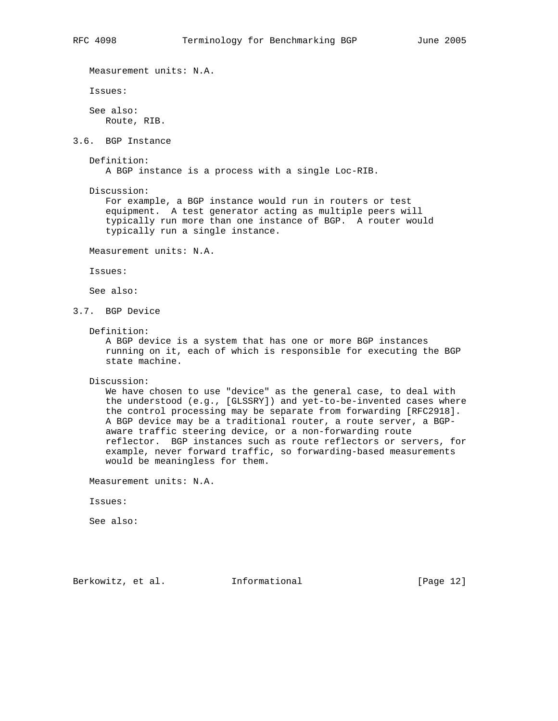Measurement units: N.A. Issues: See also: Route, RIB. 3.6. BGP Instance Definition: A BGP instance is a process with a single Loc-RIB. Discussion: For example, a BGP instance would run in routers or test equipment. A test generator acting as multiple peers will typically run more than one instance of BGP. A router would typically run a single instance. Measurement units: N.A. Issues: See also: 3.7. BGP Device Definition: A BGP device is a system that has one or more BGP instances running on it, each of which is responsible for executing the BGP state machine. Discussion: We have chosen to use "device" as the general case, to deal with the understood (e.g., [GLSSRY]) and yet-to-be-invented cases where the control processing may be separate from forwarding [RFC2918]. A BGP device may be a traditional router, a route server, a BGP aware traffic steering device, or a non-forwarding route reflector. BGP instances such as route reflectors or servers, for example, never forward traffic, so forwarding-based measurements would be meaningless for them. Measurement units: N.A. Issues: See also: Berkowitz, et al. Informational [Page 12]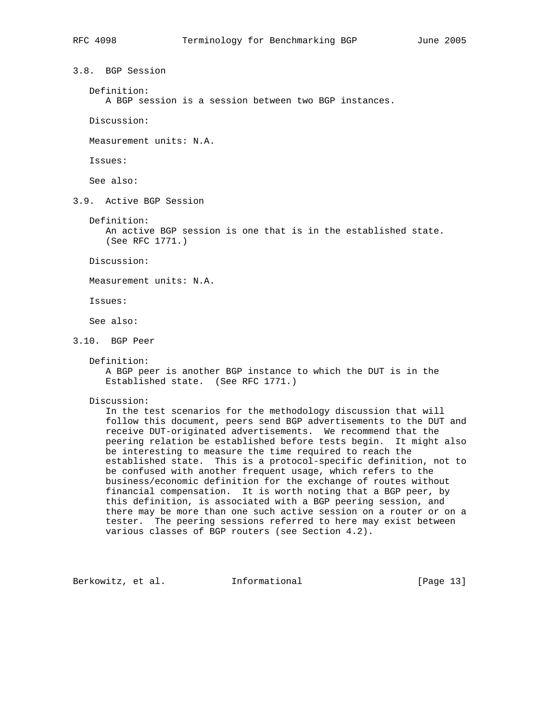3.8. BGP Session

Definition:

A BGP session is a session between two BGP instances.

Discussion:

Measurement units: N.A.

Issues:

See also:

3.9. Active BGP Session

Definition:

 An active BGP session is one that is in the established state. (See RFC 1771.)

Discussion:

Measurement units: N.A.

Issues:

See also:

- 3.10. BGP Peer
	- Definition:

 A BGP peer is another BGP instance to which the DUT is in the Established state. (See RFC 1771.)

Discussion:

 In the test scenarios for the methodology discussion that will follow this document, peers send BGP advertisements to the DUT and receive DUT-originated advertisements. We recommend that the peering relation be established before tests begin. It might also be interesting to measure the time required to reach the established state. This is a protocol-specific definition, not to be confused with another frequent usage, which refers to the business/economic definition for the exchange of routes without financial compensation. It is worth noting that a BGP peer, by this definition, is associated with a BGP peering session, and there may be more than one such active session on a router or on a tester. The peering sessions referred to here may exist between various classes of BGP routers (see Section 4.2).

Berkowitz, et al. Informational [Page 13]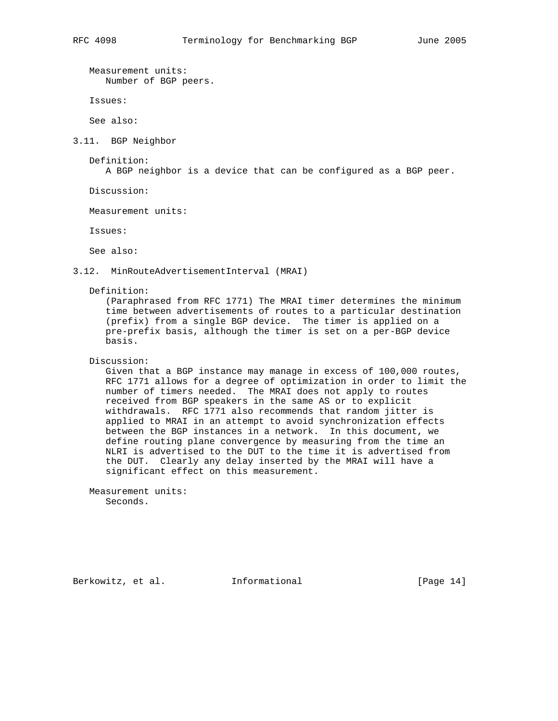Measurement units: Number of BGP peers.

Issues:

See also:

3.11. BGP Neighbor

Definition:

A BGP neighbor is a device that can be configured as a BGP peer.

Discussion:

Measurement units:

Issues:

See also:

3.12. MinRouteAdvertisementInterval (MRAI)

Definition:

 (Paraphrased from RFC 1771) The MRAI timer determines the minimum time between advertisements of routes to a particular destination (prefix) from a single BGP device. The timer is applied on a pre-prefix basis, although the timer is set on a per-BGP device basis.

Discussion:

 Given that a BGP instance may manage in excess of 100,000 routes, RFC 1771 allows for a degree of optimization in order to limit the number of timers needed. The MRAI does not apply to routes received from BGP speakers in the same AS or to explicit withdrawals. RFC 1771 also recommends that random jitter is applied to MRAI in an attempt to avoid synchronization effects between the BGP instances in a network. In this document, we define routing plane convergence by measuring from the time an NLRI is advertised to the DUT to the time it is advertised from the DUT. Clearly any delay inserted by the MRAI will have a significant effect on this measurement.

 Measurement units: Seconds.

Berkowitz, et al. 1nformational [Page 14]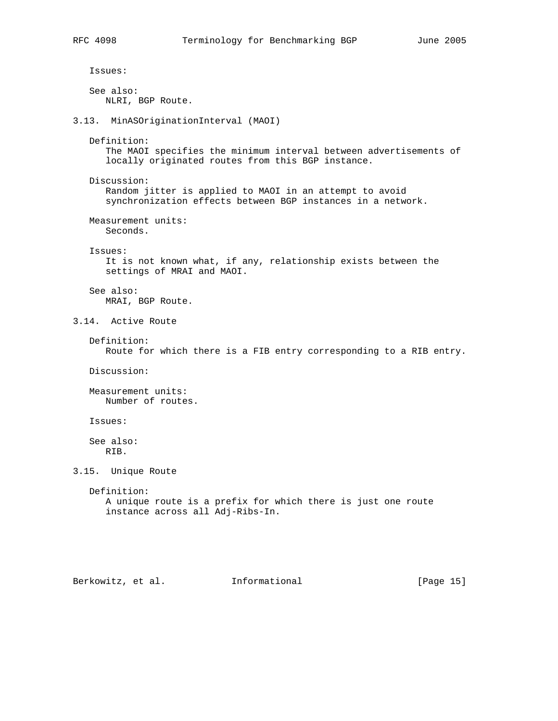```
 Issues:
```
 See also: NLRI, BGP Route.

3.13. MinASOriginationInterval (MAOI)

Definition:

 The MAOI specifies the minimum interval between advertisements of locally originated routes from this BGP instance.

 Discussion: Random jitter is applied to MAOI in an attempt to avoid synchronization effects between BGP instances in a network.

 Measurement units: Seconds.

Issues:

 It is not known what, if any, relationship exists between the settings of MRAI and MAOI.

 See also: MRAI, BGP Route.

3.14. Active Route

 Definition: Route for which there is a FIB entry corresponding to a RIB entry.

Discussion:

 Measurement units: Number of routes.

Issues:

 See also: RIB.

3.15. Unique Route

 Definition: A unique route is a prefix for which there is just one route instance across all Adj-Ribs-In.

Berkowitz, et al. Informational [Page 15]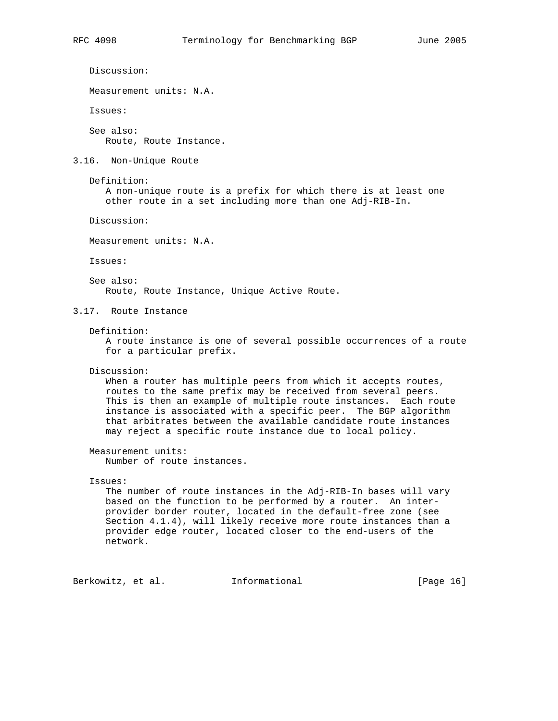```
 Discussion:
   Measurement units: N.A.
   Issues:
   See also:
      Route, Route Instance.
3.16. Non-Unique Route
   Definition:
      A non-unique route is a prefix for which there is at least one
       other route in a set including more than one Adj-RIB-In.
   Discussion:
   Measurement units: N.A.
   Issues:
   See also:
      Route, Route Instance, Unique Active Route.
3.17. Route Instance
   Definition:
       A route instance is one of several possible occurrences of a route
       for a particular prefix.
   Discussion:
     When a router has multiple peers from which it accepts routes,
       routes to the same prefix may be received from several peers.
      This is then an example of multiple route instances. Each route
       instance is associated with a specific peer. The BGP algorithm
       that arbitrates between the available candidate route instances
      may reject a specific route instance due to local policy.
   Measurement units:
      Number of route instances.
    Issues:
      The number of route instances in the Adj-RIB-In bases will vary
      based on the function to be performed by a router. An inter-
      provider border router, located in the default-free zone (see
       Section 4.1.4), will likely receive more route instances than a
      provider edge router, located closer to the end-users of the
      network.
Berkowitz, et al.         Informational           [Page 16]
```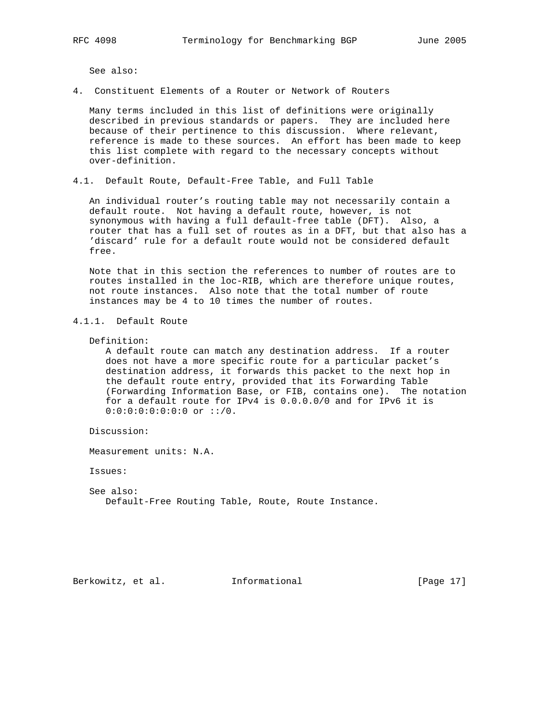See also:

4. Constituent Elements of a Router or Network of Routers

 Many terms included in this list of definitions were originally described in previous standards or papers. They are included here because of their pertinence to this discussion. Where relevant, reference is made to these sources. An effort has been made to keep this list complete with regard to the necessary concepts without over-definition.

4.1. Default Route, Default-Free Table, and Full Table

 An individual router's routing table may not necessarily contain a default route. Not having a default route, however, is not synonymous with having a full default-free table (DFT). Also, a router that has a full set of routes as in a DFT, but that also has a 'discard' rule for a default route would not be considered default free.

 Note that in this section the references to number of routes are to routes installed in the loc-RIB, which are therefore unique routes, not route instances. Also note that the total number of route instances may be 4 to 10 times the number of routes.

```
4.1.1. Default Route
```
### Definition:

 A default route can match any destination address. If a router does not have a more specific route for a particular packet's destination address, it forwards this packet to the next hop in the default route entry, provided that its Forwarding Table (Forwarding Information Base, or FIB, contains one). The notation for a default route for IPv4 is 0.0.0.0/0 and for IPv6 it is 0:0:0:0:0:0:0:0 or ::/0.

Discussion:

Measurement units: N.A.

Issues:

 See also: Default-Free Routing Table, Route, Route Instance.

Berkowitz, et al. Informational [Page 17]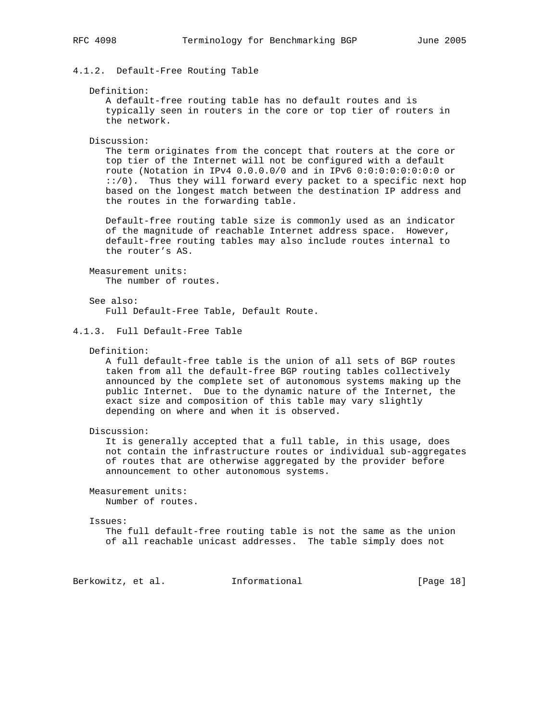4.1.2. Default-Free Routing Table

### Definition:

 A default-free routing table has no default routes and is typically seen in routers in the core or top tier of routers in the network.

Discussion:

 The term originates from the concept that routers at the core or top tier of the Internet will not be configured with a default route (Notation in IPv4 0.0.0.0/0 and in IPv6 0:0:0:0:0:0:0:0 or ::/0). Thus they will forward every packet to a specific next hop based on the longest match between the destination IP address and the routes in the forwarding table.

 Default-free routing table size is commonly used as an indicator of the magnitude of reachable Internet address space. However, default-free routing tables may also include routes internal to the router's AS.

 Measurement units: The number of routes.

 See also: Full Default-Free Table, Default Route.

# 4.1.3. Full Default-Free Table

### Definition:

 A full default-free table is the union of all sets of BGP routes taken from all the default-free BGP routing tables collectively announced by the complete set of autonomous systems making up the public Internet. Due to the dynamic nature of the Internet, the exact size and composition of this table may vary slightly depending on where and when it is observed.

Discussion:

 It is generally accepted that a full table, in this usage, does not contain the infrastructure routes or individual sub-aggregates of routes that are otherwise aggregated by the provider before announcement to other autonomous systems.

 Measurement units: Number of routes.

Issues:

 The full default-free routing table is not the same as the union of all reachable unicast addresses. The table simply does not

Berkowitz, et al. **Informational** [Page 18]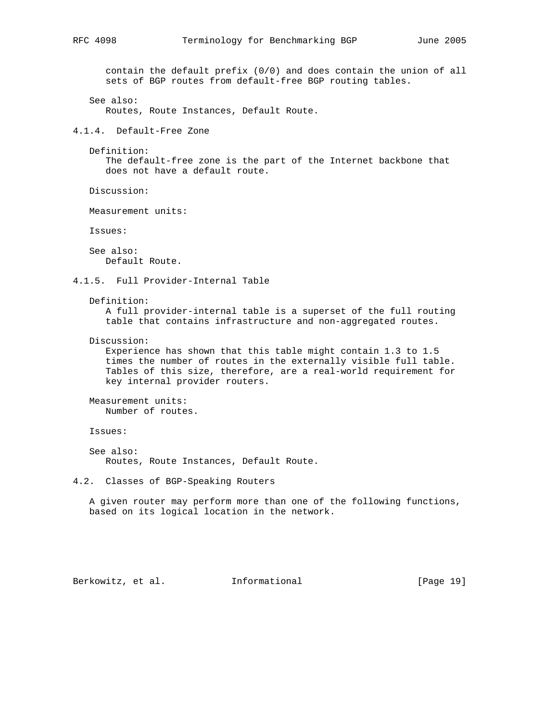contain the default prefix (0/0) and does contain the union of all sets of BGP routes from default-free BGP routing tables.

 See also: Routes, Route Instances, Default Route.

4.1.4. Default-Free Zone

Definition:

 The default-free zone is the part of the Internet backbone that does not have a default route.

Discussion:

Measurement units:

Issues:

 See also: Default Route.

4.1.5. Full Provider-Internal Table

Definition:

 A full provider-internal table is a superset of the full routing table that contains infrastructure and non-aggregated routes.

Discussion:

 Experience has shown that this table might contain 1.3 to 1.5 times the number of routes in the externally visible full table. Tables of this size, therefore, are a real-world requirement for key internal provider routers.

 Measurement units: Number of routes.

Issues:

 See also: Routes, Route Instances, Default Route.

4.2. Classes of BGP-Speaking Routers

 A given router may perform more than one of the following functions, based on its logical location in the network.

Berkowitz, et al. Informational [Page 19]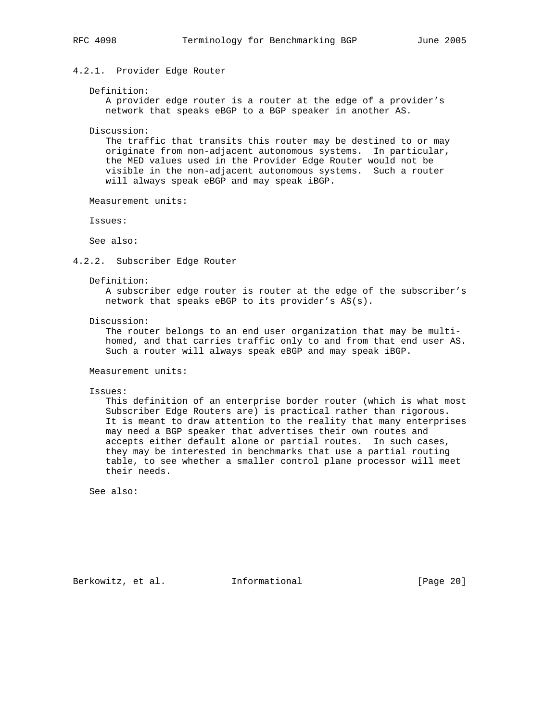# 4.2.1. Provider Edge Router

### Definition:

 A provider edge router is a router at the edge of a provider's network that speaks eBGP to a BGP speaker in another AS.

Discussion:

 The traffic that transits this router may be destined to or may originate from non-adjacent autonomous systems. In particular, the MED values used in the Provider Edge Router would not be visible in the non-adjacent autonomous systems. Such a router will always speak eBGP and may speak iBGP.

Measurement units:

Issues:

See also:

4.2.2. Subscriber Edge Router

### Definition:

 A subscriber edge router is router at the edge of the subscriber's network that speaks eBGP to its provider's AS(s).

Discussion:

 The router belongs to an end user organization that may be multi homed, and that carries traffic only to and from that end user AS. Such a router will always speak eBGP and may speak iBGP.

Measurement units:

Issues:

 This definition of an enterprise border router (which is what most Subscriber Edge Routers are) is practical rather than rigorous. It is meant to draw attention to the reality that many enterprises may need a BGP speaker that advertises their own routes and accepts either default alone or partial routes. In such cases, they may be interested in benchmarks that use a partial routing table, to see whether a smaller control plane processor will meet their needs.

See also:

Berkowitz, et al. **Informational** [Page 20]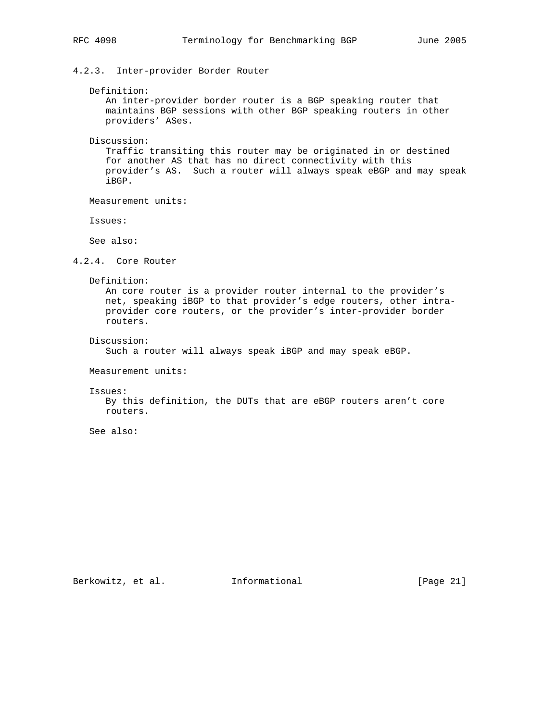# 4.2.3. Inter-provider Border Router

### Definition:

 An inter-provider border router is a BGP speaking router that maintains BGP sessions with other BGP speaking routers in other providers' ASes.

Discussion:

 Traffic transiting this router may be originated in or destined for another AS that has no direct connectivity with this provider's AS. Such a router will always speak eBGP and may speak iBGP.

Measurement units:

Issues:

See also:

4.2.4. Core Router

Definition:

 An core router is a provider router internal to the provider's net, speaking iBGP to that provider's edge routers, other intra provider core routers, or the provider's inter-provider border routers.

Discussion:

Such a router will always speak iBGP and may speak eBGP.

Measurement units:

Issues:

 By this definition, the DUTs that are eBGP routers aren't core routers.

See also: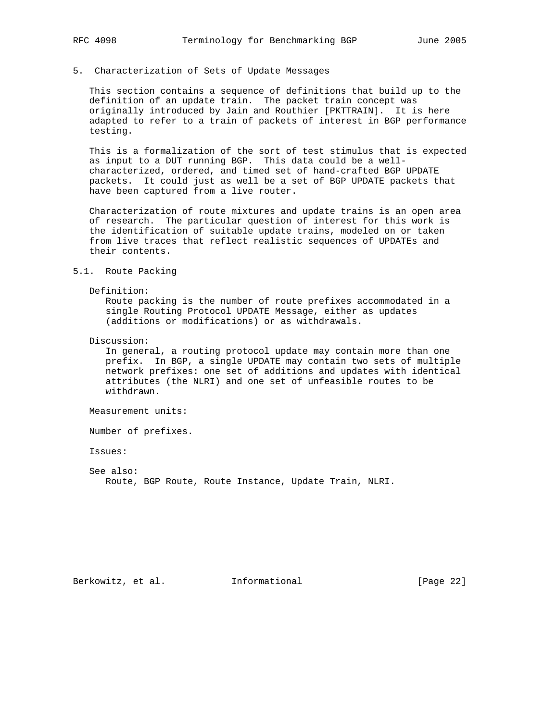### 5. Characterization of Sets of Update Messages

 This section contains a sequence of definitions that build up to the definition of an update train. The packet train concept was originally introduced by Jain and Routhier [PKTTRAIN]. It is here adapted to refer to a train of packets of interest in BGP performance testing.

 This is a formalization of the sort of test stimulus that is expected as input to a DUT running BGP. This data could be a well characterized, ordered, and timed set of hand-crafted BGP UPDATE packets. It could just as well be a set of BGP UPDATE packets that have been captured from a live router.

 Characterization of route mixtures and update trains is an open area of research. The particular question of interest for this work is the identification of suitable update trains, modeled on or taken from live traces that reflect realistic sequences of UPDATEs and their contents.

### 5.1. Route Packing

### Definition:

 Route packing is the number of route prefixes accommodated in a single Routing Protocol UPDATE Message, either as updates (additions or modifications) or as withdrawals.

Discussion:

 In general, a routing protocol update may contain more than one prefix. In BGP, a single UPDATE may contain two sets of multiple network prefixes: one set of additions and updates with identical attributes (the NLRI) and one set of unfeasible routes to be withdrawn.

Measurement units:

Number of prefixes.

Issues:

 See also: Route, BGP Route, Route Instance, Update Train, NLRI.

Berkowitz, et al. Informational [Page 22]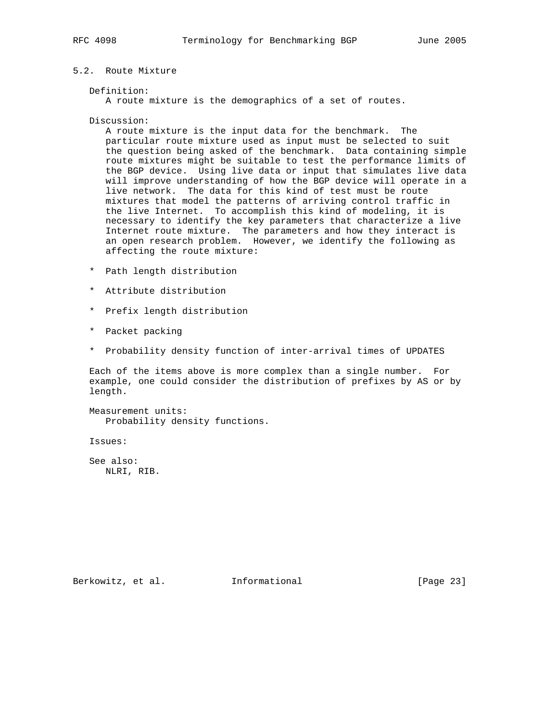# 5.2. Route Mixture

### Definition:

A route mixture is the demographics of a set of routes.

Discussion:

 A route mixture is the input data for the benchmark. The particular route mixture used as input must be selected to suit the question being asked of the benchmark. Data containing simple route mixtures might be suitable to test the performance limits of the BGP device. Using live data or input that simulates live data will improve understanding of how the BGP device will operate in a live network. The data for this kind of test must be route mixtures that model the patterns of arriving control traffic in the live Internet. To accomplish this kind of modeling, it is necessary to identify the key parameters that characterize a live Internet route mixture. The parameters and how they interact is an open research problem. However, we identify the following as affecting the route mixture:

- \* Path length distribution
- \* Attribute distribution
- \* Prefix length distribution
- \* Packet packing
- \* Probability density function of inter-arrival times of UPDATES

 Each of the items above is more complex than a single number. For example, one could consider the distribution of prefixes by AS or by length.

 Measurement units: Probability density functions.

Issues:

 See also: NLRI, RIB.

Berkowitz, et al. Informational [Page 23]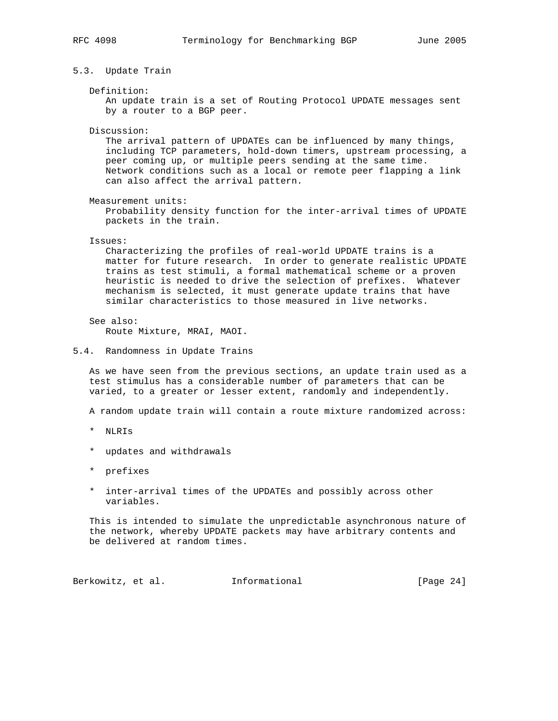# 5.3. Update Train

### Definition:

 An update train is a set of Routing Protocol UPDATE messages sent by a router to a BGP peer.

Discussion:

 The arrival pattern of UPDATEs can be influenced by many things, including TCP parameters, hold-down timers, upstream processing, a peer coming up, or multiple peers sending at the same time. Network conditions such as a local or remote peer flapping a link can also affect the arrival pattern.

Measurement units:

 Probability density function for the inter-arrival times of UPDATE packets in the train.

## Issues:

 Characterizing the profiles of real-world UPDATE trains is a matter for future research. In order to generate realistic UPDATE trains as test stimuli, a formal mathematical scheme or a proven heuristic is needed to drive the selection of prefixes. Whatever mechanism is selected, it must generate update trains that have similar characteristics to those measured in live networks.

# See also:

Route Mixture, MRAI, MAOI.

## 5.4. Randomness in Update Trains

 As we have seen from the previous sections, an update train used as a test stimulus has a considerable number of parameters that can be varied, to a greater or lesser extent, randomly and independently.

A random update train will contain a route mixture randomized across:

- \* NLRIs
- \* updates and withdrawals
- \* prefixes
- \* inter-arrival times of the UPDATEs and possibly across other variables.

 This is intended to simulate the unpredictable asynchronous nature of the network, whereby UPDATE packets may have arbitrary contents and be delivered at random times.

Berkowitz, et al. **Informational** [Page 24]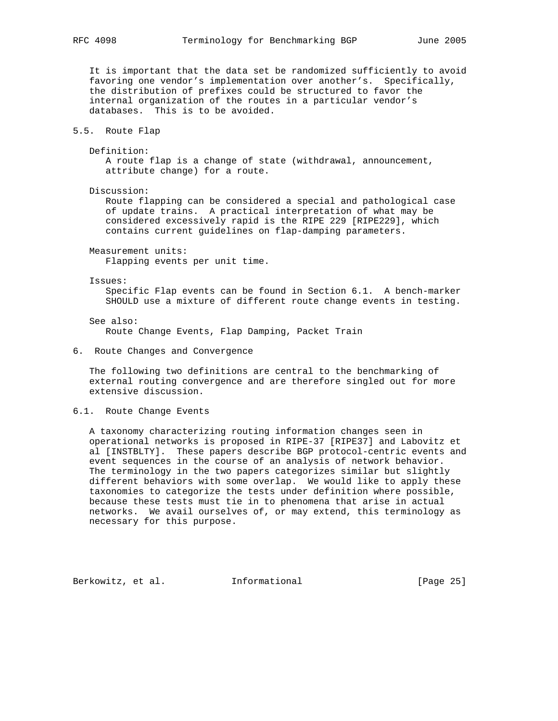It is important that the data set be randomized sufficiently to avoid favoring one vendor's implementation over another's. Specifically, the distribution of prefixes could be structured to favor the internal organization of the routes in a particular vendor's databases. This is to be avoided.

5.5. Route Flap

 Definition: A route flap is a change of state (withdrawal, announcement, attribute change) for a route.

Discussion:

 Route flapping can be considered a special and pathological case of update trains. A practical interpretation of what may be considered excessively rapid is the RIPE 229 [RIPE229], which contains current guidelines on flap-damping parameters.

 Measurement units: Flapping events per unit time.

Issues:

 Specific Flap events can be found in Section 6.1. A bench-marker SHOULD use a mixture of different route change events in testing.

 See also: Route Change Events, Flap Damping, Packet Train

## 6. Route Changes and Convergence

 The following two definitions are central to the benchmarking of external routing convergence and are therefore singled out for more extensive discussion.

## 6.1. Route Change Events

 A taxonomy characterizing routing information changes seen in operational networks is proposed in RIPE-37 [RIPE37] and Labovitz et al [INSTBLTY]. These papers describe BGP protocol-centric events and event sequences in the course of an analysis of network behavior. The terminology in the two papers categorizes similar but slightly different behaviors with some overlap. We would like to apply these taxonomies to categorize the tests under definition where possible, because these tests must tie in to phenomena that arise in actual networks. We avail ourselves of, or may extend, this terminology as necessary for this purpose.

Berkowitz, et al. Informational [Page 25]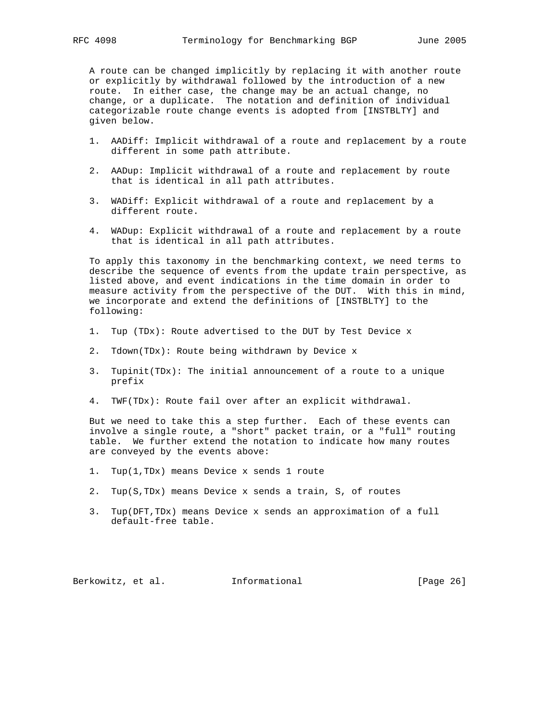A route can be changed implicitly by replacing it with another route or explicitly by withdrawal followed by the introduction of a new route. In either case, the change may be an actual change, no change, or a duplicate. The notation and definition of individual categorizable route change events is adopted from [INSTBLTY] and given below.

- 1. AADiff: Implicit withdrawal of a route and replacement by a route different in some path attribute.
- 2. AADup: Implicit withdrawal of a route and replacement by route that is identical in all path attributes.
- 3. WADiff: Explicit withdrawal of a route and replacement by a different route.
- 4. WADup: Explicit withdrawal of a route and replacement by a route that is identical in all path attributes.

 To apply this taxonomy in the benchmarking context, we need terms to describe the sequence of events from the update train perspective, as listed above, and event indications in the time domain in order to measure activity from the perspective of the DUT. With this in mind, we incorporate and extend the definitions of [INSTBLTY] to the following:

- 1. Tup (TDx): Route advertised to the DUT by Test Device x
- 2. Tdown(TDx): Route being withdrawn by Device x
- 3. Tupinit(TDx): The initial announcement of a route to a unique prefix
- 4. TWF(TDx): Route fail over after an explicit withdrawal.

 But we need to take this a step further. Each of these events can involve a single route, a "short" packet train, or a "full" routing table. We further extend the notation to indicate how many routes are conveyed by the events above:

- 1. Tup(1,TDx) means Device x sends 1 route
- 2. Tup(S,TDx) means Device x sends a train, S, of routes
- 3. Tup(DFT,TDx) means Device x sends an approximation of a full default-free table.

Berkowitz, et al. **Informational** [Page 26]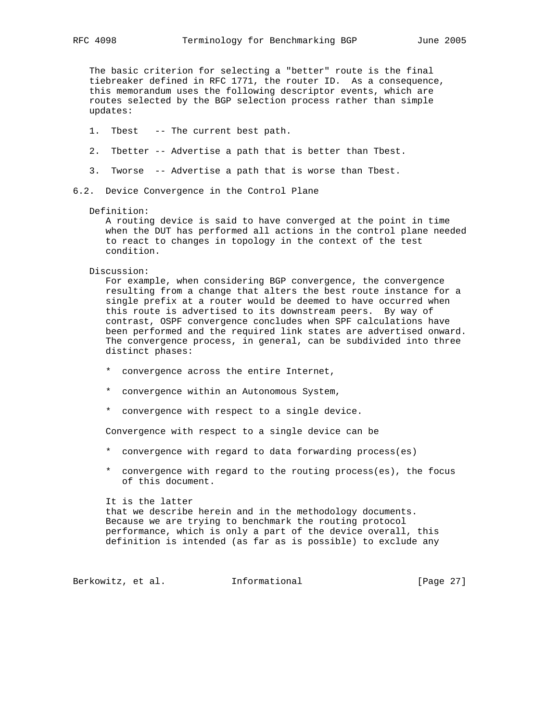The basic criterion for selecting a "better" route is the final tiebreaker defined in RFC 1771, the router ID. As a consequence, this memorandum uses the following descriptor events, which are routes selected by the BGP selection process rather than simple updates:

- 1. Tbest -- The current best path.
- 2. Tbetter -- Advertise a path that is better than Tbest.
- 3. Tworse -- Advertise a path that is worse than Tbest.
- 6.2. Device Convergence in the Control Plane

### Definition:

 A routing device is said to have converged at the point in time when the DUT has performed all actions in the control plane needed to react to changes in topology in the context of the test condition.

### Discussion:

 For example, when considering BGP convergence, the convergence resulting from a change that alters the best route instance for a single prefix at a router would be deemed to have occurred when this route is advertised to its downstream peers. By way of contrast, OSPF convergence concludes when SPF calculations have been performed and the required link states are advertised onward. The convergence process, in general, can be subdivided into three distinct phases:

- \* convergence across the entire Internet,
- \* convergence within an Autonomous System,
- \* convergence with respect to a single device.

Convergence with respect to a single device can be

- \* convergence with regard to data forwarding process(es)
- \* convergence with regard to the routing process(es), the focus of this document.

It is the latter

 that we describe herein and in the methodology documents. Because we are trying to benchmark the routing protocol performance, which is only a part of the device overall, this definition is intended (as far as is possible) to exclude any

Berkowitz, et al. 1nformational [Page 27]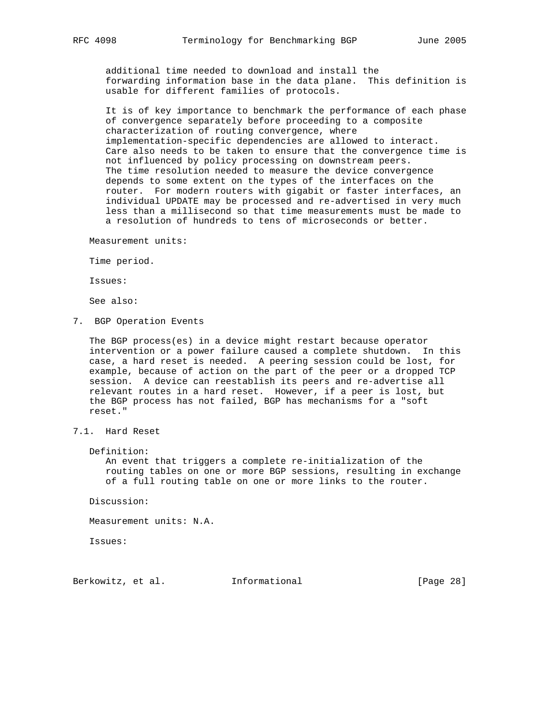additional time needed to download and install the forwarding information base in the data plane. This definition is usable for different families of protocols.

 It is of key importance to benchmark the performance of each phase of convergence separately before proceeding to a composite characterization of routing convergence, where implementation-specific dependencies are allowed to interact. Care also needs to be taken to ensure that the convergence time is not influenced by policy processing on downstream peers. The time resolution needed to measure the device convergence depends to some extent on the types of the interfaces on the router. For modern routers with gigabit or faster interfaces, an individual UPDATE may be processed and re-advertised in very much less than a millisecond so that time measurements must be made to a resolution of hundreds to tens of microseconds or better.

Measurement units:

Time period.

Issues:

See also:

7. BGP Operation Events

 The BGP process(es) in a device might restart because operator intervention or a power failure caused a complete shutdown. In this case, a hard reset is needed. A peering session could be lost, for example, because of action on the part of the peer or a dropped TCP session. A device can reestablish its peers and re-advertise all relevant routes in a hard reset. However, if a peer is lost, but the BGP process has not failed, BGP has mechanisms for a "soft reset."

- 7.1. Hard Reset
	- Definition:

 An event that triggers a complete re-initialization of the routing tables on one or more BGP sessions, resulting in exchange of a full routing table on one or more links to the router.

Discussion:

Measurement units: N.A.

Issues:

Berkowitz, et al. **Informational** [Page 28]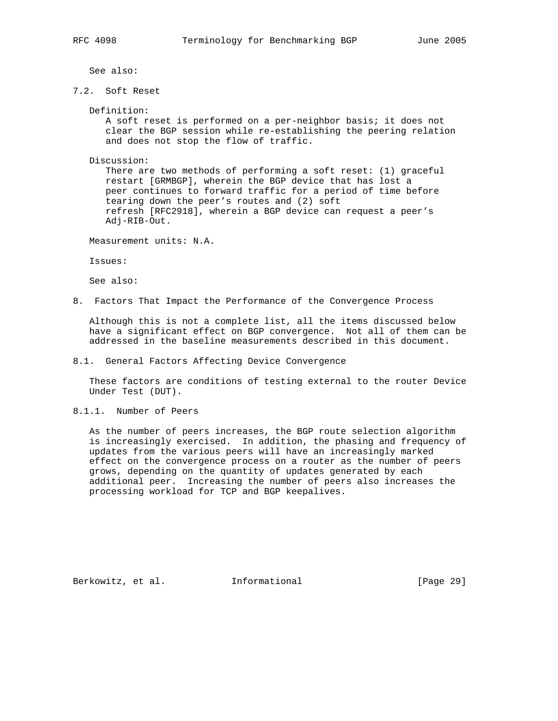See also:

7.2. Soft Reset

Definition:

 A soft reset is performed on a per-neighbor basis; it does not clear the BGP session while re-establishing the peering relation and does not stop the flow of traffic.

Discussion:

 There are two methods of performing a soft reset: (1) graceful restart [GRMBGP], wherein the BGP device that has lost a peer continues to forward traffic for a period of time before tearing down the peer's routes and (2) soft refresh [RFC2918], wherein a BGP device can request a peer's Adj-RIB-Out.

Measurement units: N.A.

Issues:

See also:

8. Factors That Impact the Performance of the Convergence Process

 Although this is not a complete list, all the items discussed below have a significant effect on BGP convergence. Not all of them can be addressed in the baseline measurements described in this document.

8.1. General Factors Affecting Device Convergence

 These factors are conditions of testing external to the router Device Under Test (DUT).

8.1.1. Number of Peers

 As the number of peers increases, the BGP route selection algorithm is increasingly exercised. In addition, the phasing and frequency of updates from the various peers will have an increasingly marked effect on the convergence process on a router as the number of peers grows, depending on the quantity of updates generated by each additional peer. Increasing the number of peers also increases the processing workload for TCP and BGP keepalives.

Berkowitz, et al. Informational [Page 29]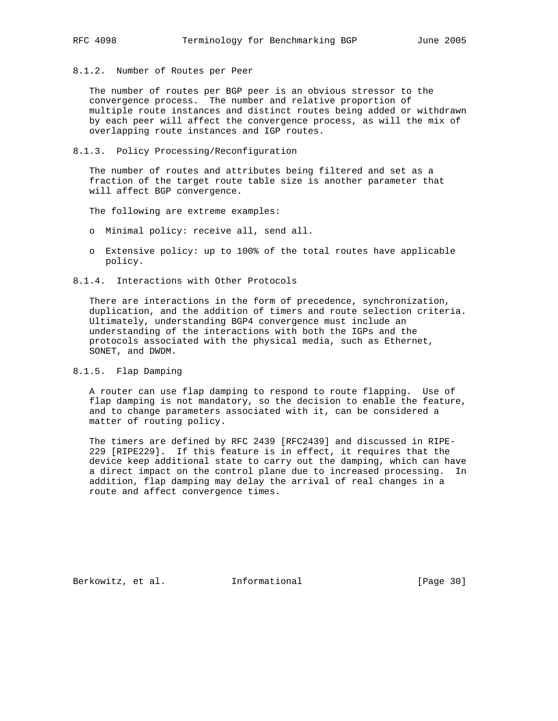8.1.2. Number of Routes per Peer

 The number of routes per BGP peer is an obvious stressor to the convergence process. The number and relative proportion of multiple route instances and distinct routes being added or withdrawn by each peer will affect the convergence process, as will the mix of overlapping route instances and IGP routes.

8.1.3. Policy Processing/Reconfiguration

 The number of routes and attributes being filtered and set as a fraction of the target route table size is another parameter that will affect BGP convergence.

The following are extreme examples:

- o Minimal policy: receive all, send all.
- o Extensive policy: up to 100% of the total routes have applicable policy.
- 8.1.4. Interactions with Other Protocols

 There are interactions in the form of precedence, synchronization, duplication, and the addition of timers and route selection criteria. Ultimately, understanding BGP4 convergence must include an understanding of the interactions with both the IGPs and the protocols associated with the physical media, such as Ethernet, SONET, and DWDM.

8.1.5. Flap Damping

 A router can use flap damping to respond to route flapping. Use of flap damping is not mandatory, so the decision to enable the feature, and to change parameters associated with it, can be considered a matter of routing policy.

 The timers are defined by RFC 2439 [RFC2439] and discussed in RIPE- 229 [RIPE229]. If this feature is in effect, it requires that the device keep additional state to carry out the damping, which can have a direct impact on the control plane due to increased processing. In addition, flap damping may delay the arrival of real changes in a route and affect convergence times.

Berkowitz, et al. Informational [Page 30]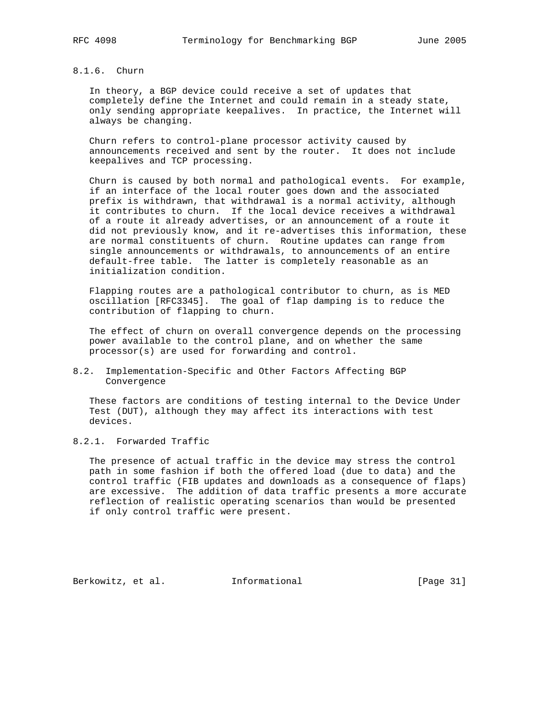# 8.1.6. Churn

 In theory, a BGP device could receive a set of updates that completely define the Internet and could remain in a steady state, only sending appropriate keepalives. In practice, the Internet will always be changing.

 Churn refers to control-plane processor activity caused by announcements received and sent by the router. It does not include keepalives and TCP processing.

 Churn is caused by both normal and pathological events. For example, if an interface of the local router goes down and the associated prefix is withdrawn, that withdrawal is a normal activity, although it contributes to churn. If the local device receives a withdrawal of a route it already advertises, or an announcement of a route it did not previously know, and it re-advertises this information, these are normal constituents of churn. Routine updates can range from single announcements or withdrawals, to announcements of an entire default-free table. The latter is completely reasonable as an initialization condition.

 Flapping routes are a pathological contributor to churn, as is MED oscillation [RFC3345]. The goal of flap damping is to reduce the contribution of flapping to churn.

 The effect of churn on overall convergence depends on the processing power available to the control plane, and on whether the same processor(s) are used for forwarding and control.

## 8.2. Implementation-Specific and Other Factors Affecting BGP Convergence

 These factors are conditions of testing internal to the Device Under Test (DUT), although they may affect its interactions with test devices.

# 8.2.1. Forwarded Traffic

 The presence of actual traffic in the device may stress the control path in some fashion if both the offered load (due to data) and the control traffic (FIB updates and downloads as a consequence of flaps) are excessive. The addition of data traffic presents a more accurate reflection of realistic operating scenarios than would be presented if only control traffic were present.

Berkowitz, et al. Informational [Page 31]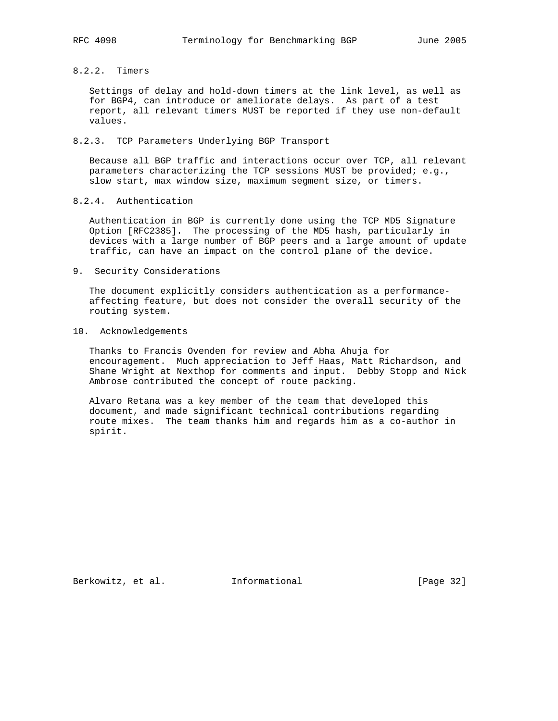8.2.2. Timers

 Settings of delay and hold-down timers at the link level, as well as for BGP4, can introduce or ameliorate delays. As part of a test report, all relevant timers MUST be reported if they use non-default values.

8.2.3. TCP Parameters Underlying BGP Transport

 Because all BGP traffic and interactions occur over TCP, all relevant parameters characterizing the TCP sessions MUST be provided; e.g., slow start, max window size, maximum segment size, or timers.

# 8.2.4. Authentication

 Authentication in BGP is currently done using the TCP MD5 Signature Option [RFC2385]. The processing of the MD5 hash, particularly in devices with a large number of BGP peers and a large amount of update traffic, can have an impact on the control plane of the device.

9. Security Considerations

 The document explicitly considers authentication as a performance affecting feature, but does not consider the overall security of the routing system.

10. Acknowledgements

 Thanks to Francis Ovenden for review and Abha Ahuja for encouragement. Much appreciation to Jeff Haas, Matt Richardson, and Shane Wright at Nexthop for comments and input. Debby Stopp and Nick Ambrose contributed the concept of route packing.

 Alvaro Retana was a key member of the team that developed this document, and made significant technical contributions regarding route mixes. The team thanks him and regards him as a co-author in spirit.

Berkowitz, et al. Informational [Page 32]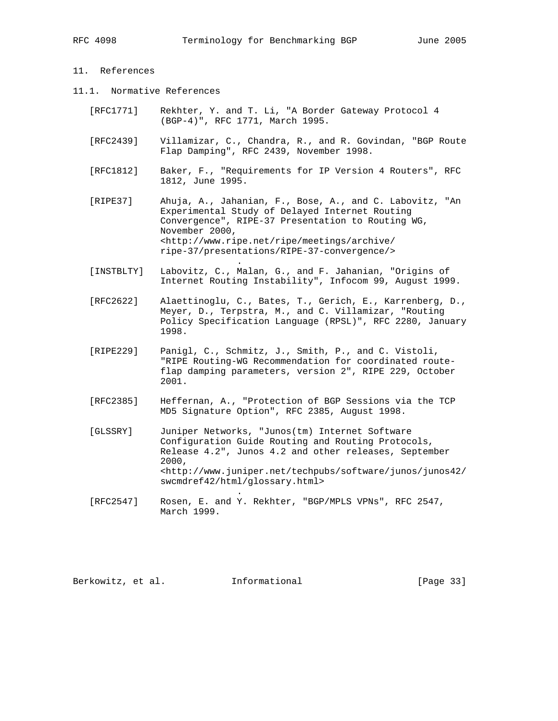# 11. References

11.1. Normative References

**.** The contract of the contract of the contract of the contract of the contract of the contract of the contract of

**.** The contract of the contract of the contract of the contract of the contract of the contract of the contract of

- [RFC1771] Rekhter, Y. and T. Li, "A Border Gateway Protocol 4 (BGP-4)", RFC 1771, March 1995.
- [RFC2439] Villamizar, C., Chandra, R., and R. Govindan, "BGP Route Flap Damping", RFC 2439, November 1998.
- [RFC1812] Baker, F., "Requirements for IP Version 4 Routers", RFC 1812, June 1995.
- [RIPE37] Ahuja, A., Jahanian, F., Bose, A., and C. Labovitz, "An Experimental Study of Delayed Internet Routing Convergence", RIPE-37 Presentation to Routing WG, November 2000, <http://www.ripe.net/ripe/meetings/archive/ ripe-37/presentations/RIPE-37-convergence/>
- [INSTBLTY] Labovitz, C., Malan, G., and F. Jahanian, "Origins of Internet Routing Instability", Infocom 99, August 1999.
- [RFC2622] Alaettinoglu, C., Bates, T., Gerich, E., Karrenberg, D., Meyer, D., Terpstra, M., and C. Villamizar, "Routing Policy Specification Language (RPSL)", RFC 2280, January 1998.
- [RIPE229] Panigl, C., Schmitz, J., Smith, P., and C. Vistoli, "RIPE Routing-WG Recommendation for coordinated route flap damping parameters, version 2", RIPE 229, October 2001.
- [RFC2385] Heffernan, A., "Protection of BGP Sessions via the TCP MD5 Signature Option", RFC 2385, August 1998.
- [GLSSRY] Juniper Networks, "Junos(tm) Internet Software Configuration Guide Routing and Routing Protocols, Release 4.2", Junos 4.2 and other releases, September 2000, <http://www.juniper.net/techpubs/software/junos/junos42/ swcmdref42/html/glossary.html>
- [RFC2547] Rosen, E. and Y. Rekhter, "BGP/MPLS VPNs", RFC 2547, March 1999.

Berkowitz, et al. Informational [Page 33]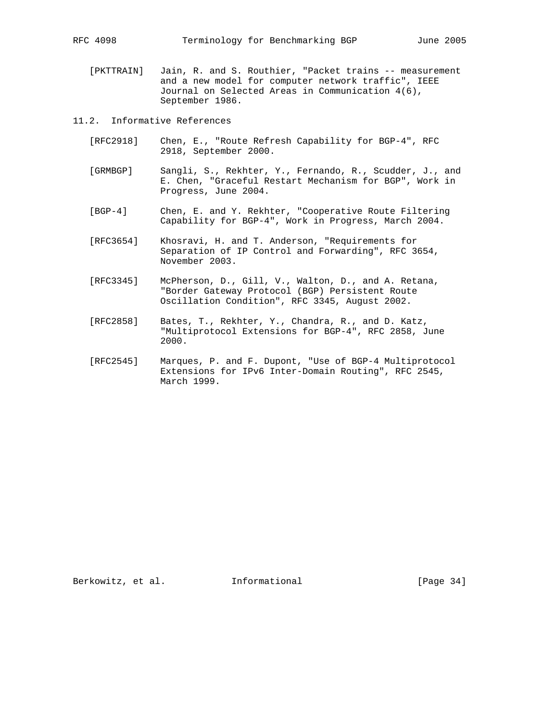[PKTTRAIN] Jain, R. and S. Routhier, "Packet trains -- measurement and a new model for computer network traffic", IEEE Journal on Selected Areas in Communication 4(6), September 1986.

11.2. Informative References

- [RFC2918] Chen, E., "Route Refresh Capability for BGP-4", RFC 2918, September 2000.
- [GRMBGP] Sangli, S., Rekhter, Y., Fernando, R., Scudder, J., and E. Chen, "Graceful Restart Mechanism for BGP", Work in Progress, June 2004.
- [BGP-4] Chen, E. and Y. Rekhter, "Cooperative Route Filtering Capability for BGP-4", Work in Progress, March 2004.
- [RFC3654] Khosravi, H. and T. Anderson, "Requirements for Separation of IP Control and Forwarding", RFC 3654, November 2003.
- [RFC3345] McPherson, D., Gill, V., Walton, D., and A. Retana, "Border Gateway Protocol (BGP) Persistent Route Oscillation Condition", RFC 3345, August 2002.
- [RFC2858] Bates, T., Rekhter, Y., Chandra, R., and D. Katz, "Multiprotocol Extensions for BGP-4", RFC 2858, June 2000.
- [RFC2545] Marques, P. and F. Dupont, "Use of BGP-4 Multiprotocol Extensions for IPv6 Inter-Domain Routing", RFC 2545, March 1999.

Berkowitz, et al. Informational [Page 34]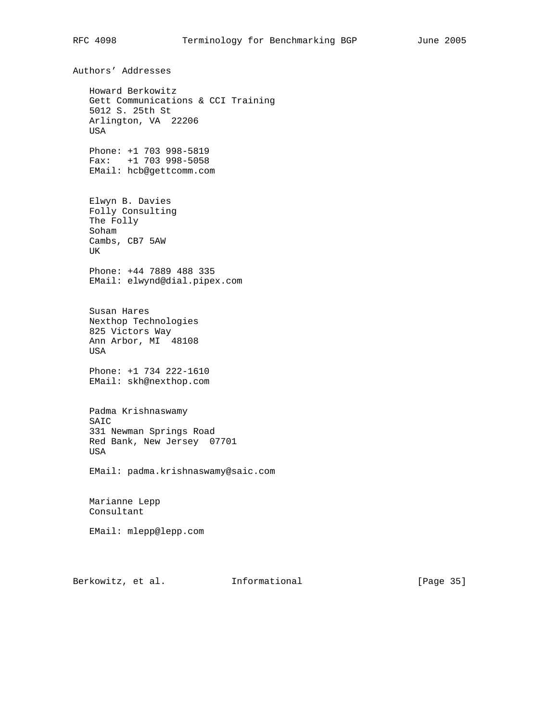Authors' Addresses Howard Berkowitz Gett Communications & CCI Training 5012 S. 25th St Arlington, VA 22206 USA Phone: +1 703 998-5819 Fax: +1 703 998-5058 EMail: hcb@gettcomm.com Elwyn B. Davies Folly Consulting The Folly Soham Cambs, CB7 5AW UK Phone: +44 7889 488 335 EMail: elwynd@dial.pipex.com Susan Hares Nexthop Technologies 825 Victors Way Ann Arbor, MI 48108 USA Phone: +1 734 222-1610 EMail: skh@nexthop.com Padma Krishnaswamy SAIC 331 Newman Springs Road Red Bank, New Jersey 07701 USA EMail: padma.krishnaswamy@saic.com Marianne Lepp Consultant EMail: mlepp@lepp.com

Berkowitz, et al. **Informational** [Page 35]